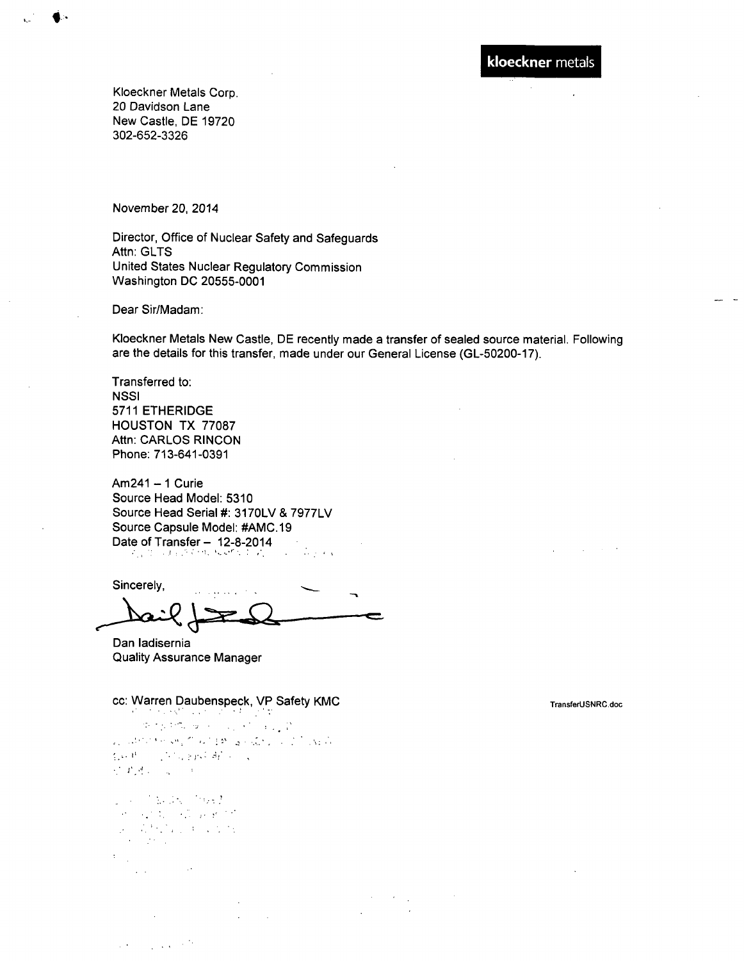kloeckner metals

Kloeckner Metals Corp. 20 Davidson Lane New Castle, DE 19720 302-652-3326

November 20, 2014

Director, Office of Nuclear Safety and Safeguards Attn: GLTS United States Nuclear Regulatory Commission Washington DC 20555-0001

Dear Sir/Madam:

Kloeckner Metals New Castle, DE recently made a transfer of sealed source material. Following are the details for this transfer, made under our General License (GL-50200-17).

Transferred to: **NSSI** 5711 ETHERIDGE HOUSTON TX 77087 Attn: CARLOS RINCON Phone: 713-641-0391

Am241 - 1 Curie Source Head Model: 5310 Source Head Serial #: 3170LV & 7977LV Source Capsule Model: #AMC. 19 Date of Transfer- 12-8-2014

Sincerely,

Dan ladisernia Quality Assurance Manager

cc: Warren Daubenspeck, VP Safety KMC TransferUSNRC.doc<br>
TransferUSNRC.doc 2. 网络中国神经合同自然管理的工作的 医假  $\{ \varphi \colon \mathcal{V}^{\mathcal{C}} \colon \mathcal{V}^{\mathcal{C}} \colon \varphi \colon \mathcal{V}^{\mathcal{C}} \colon \varphi \colon \mathcal{V}^{\mathcal{C}} \colon \mathcal{S} \mathcal{V} \to \mathcal{V}^{\mathcal{C}} \}$  $\eta^{\prime\prime}(\mathcal{P}_1\mathcal{A}_{22})=\eta^{\prime\prime}$  , and

 $\mathcal{L}^{\text{max}}$  , which is the  $\mathcal{L}^{\text{max}}$ e de la maria de la 1999.<br>Estados de la 1999 de la 1999  $\mu$  . We have a set  $\alpha$  $\mathcal{A}=\mathcal{A}+\mathcal{A}$  .  $\mathcal{F}_{\mathcal{F},\mathcal{F}}$  $\Delta \Delta \phi = 0.01$  and  $\Delta \phi$ 

 $\sim$   $\sim$  $\bar{z}$  $\sim 10^{-11}$ 

 $\mathcal{L}^{\mathcal{L}}$ 

 $\sim 10^{-1}$ 

 $\label{eq:2.1} \mathcal{L}(\mathcal{F}) = \mathcal{L}(\mathcal{F},\mathcal{F}) \times \mathcal{F}(\mathcal{F})$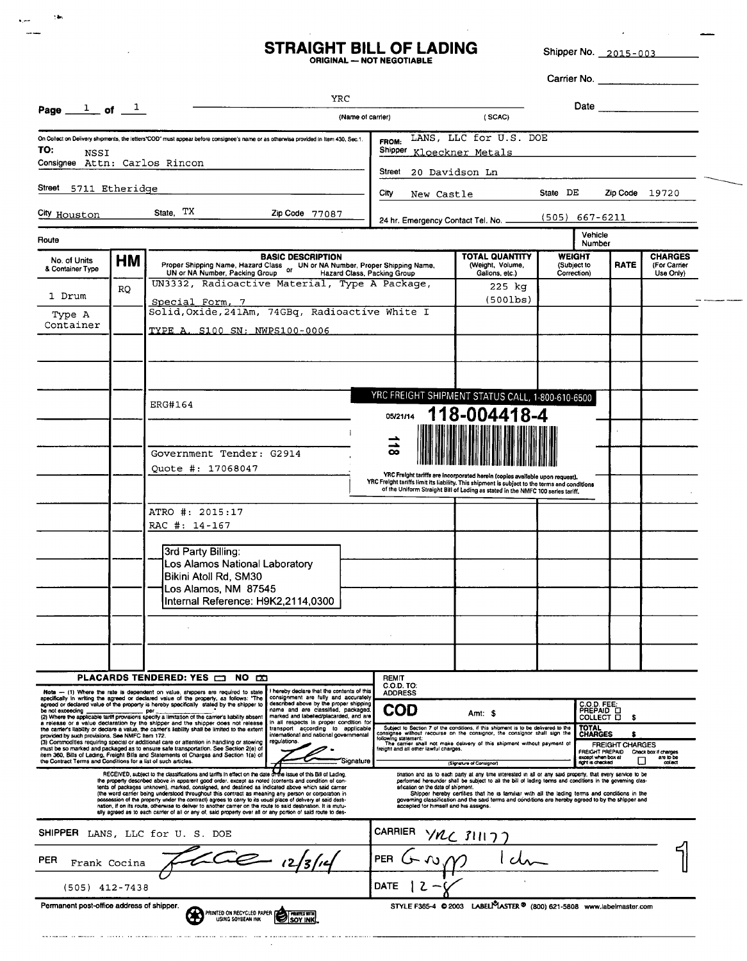## STRAIGHT BILL OF LADING Shipper No. \_2015-003<br>| ORIGINAL — NOT NEGOTIABLE

 $\lambda$ 

 $\overline{a}$ 

المعروف

Carrier No.

 $\mathcal{L}^{\pm}$ 

 $\overline{\phantom{a}}$ 

|                                                                     |           |                                                                                                                                                                                                                                                                                                                                                                                                                                                                                                                                                                                    | YRC                                                                                                                                                                                                                     |                                                                                               |                                                                                                                                                                                                                                                       |                                             | Date $\qquad \qquad \qquad$                           |                           |
|---------------------------------------------------------------------|-----------|------------------------------------------------------------------------------------------------------------------------------------------------------------------------------------------------------------------------------------------------------------------------------------------------------------------------------------------------------------------------------------------------------------------------------------------------------------------------------------------------------------------------------------------------------------------------------------|-------------------------------------------------------------------------------------------------------------------------------------------------------------------------------------------------------------------------|-----------------------------------------------------------------------------------------------|-------------------------------------------------------------------------------------------------------------------------------------------------------------------------------------------------------------------------------------------------------|---------------------------------------------|-------------------------------------------------------|---------------------------|
| Page $1$ of $1$                                                     |           |                                                                                                                                                                                                                                                                                                                                                                                                                                                                                                                                                                                    | (Name of carrier)                                                                                                                                                                                                       |                                                                                               | (SCAC)                                                                                                                                                                                                                                                |                                             |                                                       |                           |
| TO:<br>NSSI<br>Consignee Attn: Carlos Rincon                        |           | On Collect on Delivery shipments, the letters"COD" must appear before consignee's name or as otherwise provided in Item 430, Sec.1.                                                                                                                                                                                                                                                                                                                                                                                                                                                |                                                                                                                                                                                                                         | FROM:<br>Shipper Kloeckner Metals                                                             | LANS, LLC for U.S. DOE                                                                                                                                                                                                                                |                                             |                                                       |                           |
| Street 5711 Etheridge                                               |           |                                                                                                                                                                                                                                                                                                                                                                                                                                                                                                                                                                                    |                                                                                                                                                                                                                         | Street                                                                                        | 20 Davidson Ln                                                                                                                                                                                                                                        |                                             |                                                       |                           |
| State, TX                                                           |           |                                                                                                                                                                                                                                                                                                                                                                                                                                                                                                                                                                                    |                                                                                                                                                                                                                         | City<br>New Castle                                                                            |                                                                                                                                                                                                                                                       | State DE<br>$\mathsf{Zip Code}$ 19720       |                                                       |                           |
| City Houston                                                        |           |                                                                                                                                                                                                                                                                                                                                                                                                                                                                                                                                                                                    | Zip Code 77087                                                                                                                                                                                                          | 24 hr. Emergency Contact Tel. No. _                                                           |                                                                                                                                                                                                                                                       | $(505) 667 - 6211$<br>Vehicle               |                                                       |                           |
| Route                                                               |           |                                                                                                                                                                                                                                                                                                                                                                                                                                                                                                                                                                                    | <b>BASIC DESCRIPTION</b>                                                                                                                                                                                                |                                                                                               | <b>TOTAL QUANTITY</b>                                                                                                                                                                                                                                 | Number<br><b>WEIGHT</b>                     |                                                       | <b>CHARGES</b>            |
| No. of Units<br>& Container Type                                    | <b>HM</b> | Proper Shipping Name, Hazard Class UN or NA Number, Proper Shipping Name,<br>UN or NA Number, Packing Group or Hazard Class, Packing Group                                                                                                                                                                                                                                                                                                                                                                                                                                         |                                                                                                                                                                                                                         |                                                                                               | (Weight, Volume,<br>Galions, etc.)                                                                                                                                                                                                                    | (Subject to<br>Correction)                  | <b>RATE</b>                                           | (For Carrier<br>Use Only) |
| 1 Drum                                                              | RO        | UN3332, Radioactive Material, Type A Package,<br>Special Form, 7                                                                                                                                                                                                                                                                                                                                                                                                                                                                                                                   |                                                                                                                                                                                                                         |                                                                                               | 225 kg<br>$(500$ lbs $)$                                                                                                                                                                                                                              |                                             |                                                       |                           |
| Type A<br>Container                                                 |           | Solid, Oxide, 241Am, 74GBq, Radioactive White I<br><u>TYPE A. S100 SN: NWPS100-0006</u>                                                                                                                                                                                                                                                                                                                                                                                                                                                                                            |                                                                                                                                                                                                                         |                                                                                               |                                                                                                                                                                                                                                                       |                                             |                                                       |                           |
|                                                                     |           |                                                                                                                                                                                                                                                                                                                                                                                                                                                                                                                                                                                    |                                                                                                                                                                                                                         |                                                                                               |                                                                                                                                                                                                                                                       |                                             |                                                       |                           |
|                                                                     |           | ERG#164                                                                                                                                                                                                                                                                                                                                                                                                                                                                                                                                                                            |                                                                                                                                                                                                                         | YRC FREIGHT SHIPMENT STATUS CALL, 1-800-610-6500<br>05/21/14                                  | 118-004418-4                                                                                                                                                                                                                                          |                                             |                                                       |                           |
|                                                                     |           | Government Tender: G2914                                                                                                                                                                                                                                                                                                                                                                                                                                                                                                                                                           |                                                                                                                                                                                                                         | $\vec{a}$                                                                                     |                                                                                                                                                                                                                                                       |                                             |                                                       |                           |
|                                                                     |           | Quote #: 17068047                                                                                                                                                                                                                                                                                                                                                                                                                                                                                                                                                                  |                                                                                                                                                                                                                         | YRC Freight tariffs limit its liability. This shipment is subject to the terms and conditions | YRC Freight tariffs are incorporated herein (copies available upon request).                                                                                                                                                                          |                                             |                                                       |                           |
|                                                                     |           | ATRO #: 2015:17<br>RAC #: 14-167                                                                                                                                                                                                                                                                                                                                                                                                                                                                                                                                                   |                                                                                                                                                                                                                         |                                                                                               | of the Uniform Straight Bill of Lading as stated in the NMFC 100 series tariff.                                                                                                                                                                       |                                             |                                                       |                           |
|                                                                     |           | 3rd Party Billing:                                                                                                                                                                                                                                                                                                                                                                                                                                                                                                                                                                 |                                                                                                                                                                                                                         |                                                                                               |                                                                                                                                                                                                                                                       |                                             |                                                       |                           |
|                                                                     |           | Los Alamos National Laboratory<br>Bikini Atoll Rd, SM30<br>Los Alamos, NM 87545                                                                                                                                                                                                                                                                                                                                                                                                                                                                                                    |                                                                                                                                                                                                                         |                                                                                               |                                                                                                                                                                                                                                                       |                                             |                                                       |                           |
|                                                                     |           | Internal Reference: H9K2,2114,0300                                                                                                                                                                                                                                                                                                                                                                                                                                                                                                                                                 |                                                                                                                                                                                                                         |                                                                                               |                                                                                                                                                                                                                                                       |                                             |                                                       |                           |
|                                                                     |           |                                                                                                                                                                                                                                                                                                                                                                                                                                                                                                                                                                                    |                                                                                                                                                                                                                         |                                                                                               |                                                                                                                                                                                                                                                       |                                             |                                                       |                           |
|                                                                     |           | PLACARDS TENDERED: YES <b>COMPASS</b>                                                                                                                                                                                                                                                                                                                                                                                                                                                                                                                                              |                                                                                                                                                                                                                         | REMIT<br>C.O.D. TO:                                                                           |                                                                                                                                                                                                                                                       |                                             |                                                       |                           |
|                                                                     |           | Note - (1) Where the rate is dependent on value, shippers are required to state<br>specifically in writing the agreed or declared value of the property, as follows: "The<br>agreed or declared value of the property is hereby specifically stated by the shipper to                                                                                                                                                                                                                                                                                                              | I hereby declare that the contents of this<br>consignment are fully and accurately<br>described above by the proper shipping                                                                                            | <b>ADDRESS</b>                                                                                |                                                                                                                                                                                                                                                       | C.O.D. FEE.<br>PREPAID O                    |                                                       |                           |
| be not exceeding<br>provided by such provisions. See NMFC Item 172. |           | . per<br>(2) Where the applicable tariff provisions specify a limitation of the carrier's liability absent<br>a release or a value declaration by the shipper and the shipper does not release<br>the carrier's liability or declare a value, the carrier's liability shall be limited to the extent<br>(3) Commodities requiring special or additional care or attention in handling or stowing<br>must be so marked and packaged as to ensure safe transportation. See Section 2(e) of<br>item 360, Bills of Lading, Freight Bills and Statements of Charges and Section 1(a) of | name and are classified, packaged,<br>marked and labelled/placarded, and are<br>in all respects in proper condition for<br>transport according to applicable<br>international and national governmental<br>regulations. | COD<br>ollowing statement:<br>reight and all other lawful charges.                            | Amt: \$<br>Subject to Section 7 of the conditions, if this shipment is to be delivered to the<br>consignee without recourse on the consignor, the consignor shall sign the<br>The carrier shall not make delivery of this shipment without payment of | COLLECT D<br><b>TOTAL</b><br><b>CHARGES</b> | -\$<br>s<br><b>FREIGHT CHARGES</b><br>FREIGHT PREPAID | Check box if charges      |
| the Contract Terms and Conditions for a list of such articles.      |           | RECEIVED, subject to the classifications and tariffs in effect on the date of the issue of this Bill of Lading.<br>the property described above in apparent good order, except as noted (contents and condition of con-                                                                                                                                                                                                                                                                                                                                                            | Signature                                                                                                                                                                                                               |                                                                                               | (Signature of Consignor)<br>tination and as to each party at any time interested in all or any said property, that every service to be<br>performed hereunder shall be subject to all the bill of lading terms and conditions in the governing clas-  | except when box at<br>right is checked      |                                                       | are to be<br>collect      |
|                                                                     |           | tents of packages unknown), marked, consigned, and destined as indicated above which said carner<br>(the word carrier being understood throughout this contract as meaning any person or corporation in<br>possession of the property under the contract) agrees to carry to its usual place of delivery at said desti-<br>nation, if on its route, otherwise to deliver to another carner on the route to said destination. It is mutu-<br>ally agreed as to each carrier of all or any of, said property over all or any portion of said route to des-                           |                                                                                                                                                                                                                         | sincation on the date of shipment.<br>accepted for himself and his assigns.                   | Shipper hereby certiles that he is tamiliar with all the lading terms and conditions in the<br>governing classification and the said terms and conditions are hereby agreed to by the shipper and                                                     |                                             |                                                       |                           |
|                                                                     |           | SHIPPER LANS, LLC for U. S. DOE                                                                                                                                                                                                                                                                                                                                                                                                                                                                                                                                                    |                                                                                                                                                                                                                         | <b>CARRIER</b>                                                                                | $Ync$ $31117$                                                                                                                                                                                                                                         |                                             |                                                       |                           |
| PER<br>Frank Cocina                                                 |           |                                                                                                                                                                                                                                                                                                                                                                                                                                                                                                                                                                                    |                                                                                                                                                                                                                         | <b>PER</b>                                                                                    |                                                                                                                                                                                                                                                       |                                             |                                                       |                           |
| $(505)$ 412-7438<br>Permanent post-office address of shipper.       |           |                                                                                                                                                                                                                                                                                                                                                                                                                                                                                                                                                                                    |                                                                                                                                                                                                                         | DATE                                                                                          | STYLE F365-4 © 2003 LABELMASTER ® (800) 621-5808 www.labelmaster.com                                                                                                                                                                                  |                                             |                                                       |                           |
|                                                                     |           | PRINTED ON RECYCLED PAPER SOY INK                                                                                                                                                                                                                                                                                                                                                                                                                                                                                                                                                  |                                                                                                                                                                                                                         |                                                                                               |                                                                                                                                                                                                                                                       |                                             |                                                       |                           |
|                                                                     |           | ANTIGRAM IL MIGILI SE SILLE LA CATALLI ANNO 18 DI TALLATIK ILI ANNIKI. TIU A PAIRIN DIRIT ALL'ANTE ALL'ALLINI                                                                                                                                                                                                                                                                                                                                                                                                                                                                      |                                                                                                                                                                                                                         |                                                                                               |                                                                                                                                                                                                                                                       |                                             |                                                       |                           |

 $\sim$